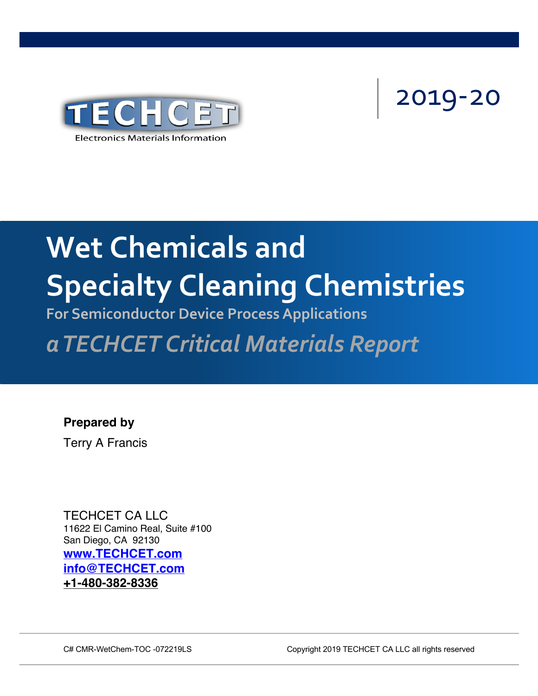

# 2019-20

# Concipley Classing Chamict Speerdie y Giedrinity Chemister **Wet Chemicals and Specialty Cleaning Chemistries**

**For Semiconductor Device Process Applications**

*a TECHCET Critical Materials Report*

**Prepared by** Terry A Francis

TECHCET CA LLC 11622 El Camino Real, Suite #100 San Diego, CA 92130 **www.TECHCET.com info@TECHCET.com +1-480-382-8336**

C# CMR-WetChem-TOC -072219LS Copyright 2019 TECHCET CA LLC all rights reserved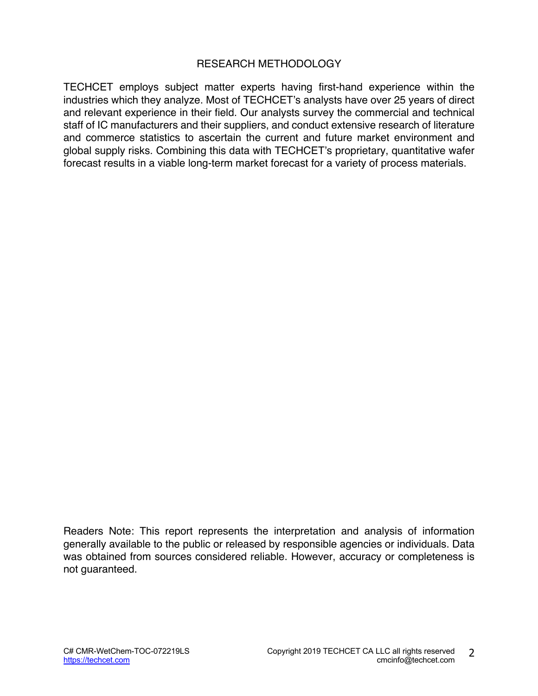#### RESEARCH METHODOLOGY

TECHCET employs subject matter experts having first-hand experience within the industries which they analyze. Most of TECHCET's analysts have over 25 years of direct and relevant experience in their field. Our analysts survey the commercial and technical staff of IC manufacturers and their suppliers, and conduct extensive research of literature and commerce statistics to ascertain the current and future market environment and global supply risks. Combining this data with TECHCET's proprietary, quantitative wafer forecast results in a viable long-term market forecast for a variety of process materials.

Readers Note: This report represents the interpretation and analysis of information generally available to the public or released by responsible agencies or individuals. Data was obtained from sources considered reliable. However, accuracy or completeness is not guaranteed.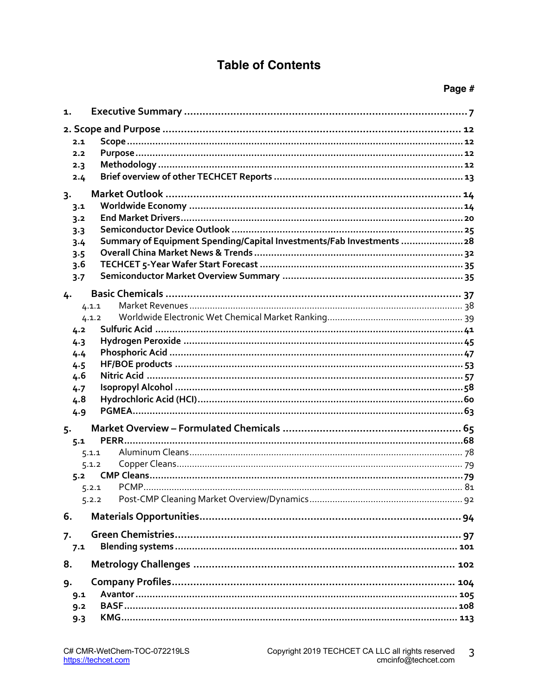### **Table of Contents**

#### Page #

| 1.    |                                                                       |  |  |  |  |
|-------|-----------------------------------------------------------------------|--|--|--|--|
|       |                                                                       |  |  |  |  |
| 2.1   |                                                                       |  |  |  |  |
| 2.2   |                                                                       |  |  |  |  |
| 2.3   |                                                                       |  |  |  |  |
| 2.4   |                                                                       |  |  |  |  |
| $3 -$ |                                                                       |  |  |  |  |
| 3.1   |                                                                       |  |  |  |  |
| 3.2   |                                                                       |  |  |  |  |
| 3.3   |                                                                       |  |  |  |  |
| 3.4   | Summary of Equipment Spending/Capital Investments/Fab Investments  28 |  |  |  |  |
| 3.5   |                                                                       |  |  |  |  |
| 3.6   |                                                                       |  |  |  |  |
| 3.7   |                                                                       |  |  |  |  |
| 4.    |                                                                       |  |  |  |  |
|       | 4.1.1                                                                 |  |  |  |  |
|       | 4.1.2                                                                 |  |  |  |  |
| 4.2   |                                                                       |  |  |  |  |
| 4.3   |                                                                       |  |  |  |  |
| 4.4   |                                                                       |  |  |  |  |
| 4.5   |                                                                       |  |  |  |  |
| 4.6   |                                                                       |  |  |  |  |
| 4.7   |                                                                       |  |  |  |  |
| 4.8   |                                                                       |  |  |  |  |
| 4.9   |                                                                       |  |  |  |  |
|       |                                                                       |  |  |  |  |
| 5.    |                                                                       |  |  |  |  |
| 5.1   |                                                                       |  |  |  |  |
|       | 5.1.1                                                                 |  |  |  |  |
|       | 5.1.2                                                                 |  |  |  |  |
| 5.2   |                                                                       |  |  |  |  |
|       | 5.2.1                                                                 |  |  |  |  |
|       | 5.2.2                                                                 |  |  |  |  |
| 6.    |                                                                       |  |  |  |  |
|       |                                                                       |  |  |  |  |
| 7.    |                                                                       |  |  |  |  |
| 7.1   |                                                                       |  |  |  |  |
| 8.    |                                                                       |  |  |  |  |
| 9.    |                                                                       |  |  |  |  |
| 9.1   |                                                                       |  |  |  |  |
| 9.2   |                                                                       |  |  |  |  |
| 9.3   |                                                                       |  |  |  |  |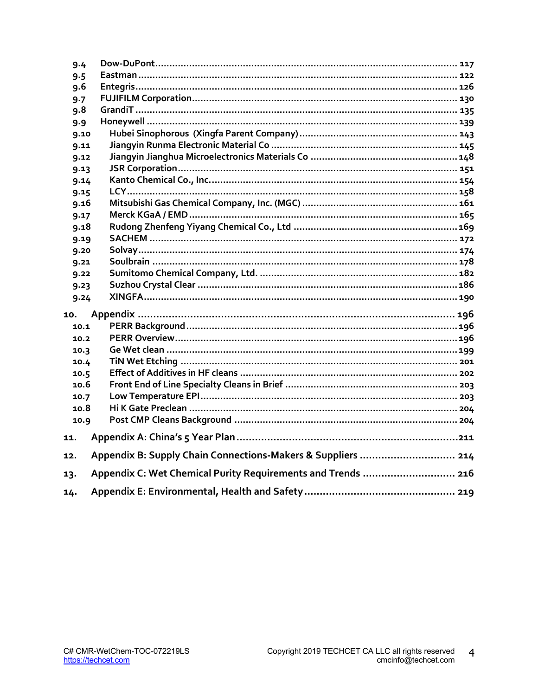| 9.4  |                                                              |
|------|--------------------------------------------------------------|
| 9.5  |                                                              |
| 9.6  |                                                              |
| 9.7  |                                                              |
| 9.8  |                                                              |
| 9.9  |                                                              |
| 9.10 |                                                              |
| 9.11 |                                                              |
| 9.12 |                                                              |
| 9.13 |                                                              |
| 9.14 |                                                              |
| 9.15 |                                                              |
| 9.16 |                                                              |
| 9.17 |                                                              |
| 9.18 |                                                              |
| 9.19 |                                                              |
| 9.20 |                                                              |
| 9.21 |                                                              |
| 9.22 |                                                              |
| 9.23 |                                                              |
| 9.24 |                                                              |
| 10.  |                                                              |
| 10.1 |                                                              |
| 10.2 |                                                              |
| 10.3 |                                                              |
| 10.4 |                                                              |
| 10.5 |                                                              |
| 10.6 |                                                              |
| 10.7 |                                                              |
| 10.8 |                                                              |
| 10.9 |                                                              |
|      |                                                              |
| 11.  |                                                              |
| 12.  | Appendix B: Supply Chain Connections-Makers & Suppliers  214 |
| 13.  | Appendix C: Wet Chemical Purity Requirements and Trends  216 |
|      |                                                              |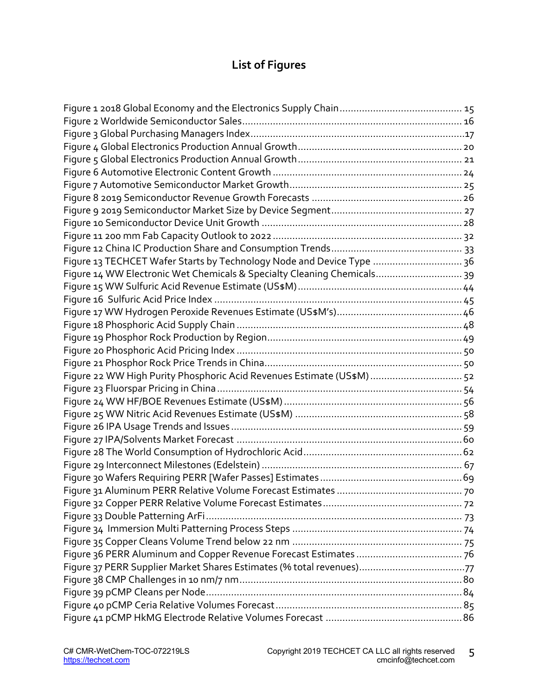## **List of Figures**

| Figure 13 TECHCET Wafer Starts by Technology Node and Device Type  36   |  |
|-------------------------------------------------------------------------|--|
| Figure 14 WW Electronic Wet Chemicals & Specialty Cleaning Chemicals 39 |  |
|                                                                         |  |
|                                                                         |  |
|                                                                         |  |
|                                                                         |  |
|                                                                         |  |
|                                                                         |  |
|                                                                         |  |
| Figure 22 WW High Purity Phosphoric Acid Revenues Estimate (US\$M)  52  |  |
|                                                                         |  |
|                                                                         |  |
|                                                                         |  |
|                                                                         |  |
|                                                                         |  |
|                                                                         |  |
|                                                                         |  |
|                                                                         |  |
|                                                                         |  |
|                                                                         |  |
|                                                                         |  |
|                                                                         |  |
|                                                                         |  |
|                                                                         |  |
|                                                                         |  |
|                                                                         |  |
|                                                                         |  |
|                                                                         |  |
|                                                                         |  |